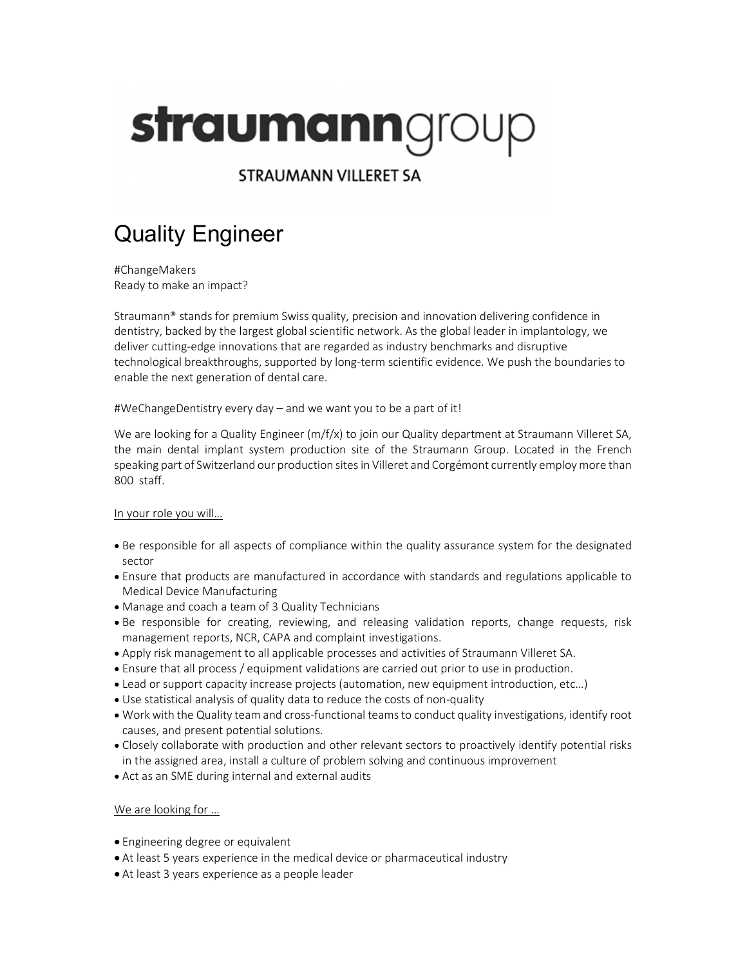# straumanngroup

**STRAUMANN VILLERET SA** 

# Quality Engineer

 #ChangeMakers Ready to make an impact?

Straumann® stands for premium Swiss quality, precision and innovation delivering confidence in dentistry, backed by the largest global scientific network. As the global leader in implantology, we deliver cutting-edge innovations that are regarded as industry benchmarks and disruptive technological breakthroughs, supported by long-term scientific evidence. We push the boundaries to enable the next generation of dental care.

#WeChangeDentistry every day – and we want you to be a part of it!

We are looking for a Quality Engineer (m/f/x) to join our Quality department at Straumann Villeret SA, the main dental implant system production site of the Straumann Group. Located in the French speaking part of Switzerland our production sites in Villeret and Corgémont currently employ more than 800 staff.

## In your role you will…

- Be responsible for all aspects of compliance within the quality assurance system for the designated sector
- Ensure that products are manufactured in accordance with standards and regulations applicable to Medical Device Manufacturing
- Manage and coach a team of 3 Quality Technicians
- Be responsible for creating, reviewing, and releasing validation reports, change requests, risk management reports, NCR, CAPA and complaint investigations.
- Apply risk management to all applicable processes and activities of Straumann Villeret SA.
- Ensure that all process / equipment validations are carried out prior to use in production.
- Lead or support capacity increase projects (automation, new equipment introduction, etc…)
- Use statistical analysis of quality data to reduce the costs of non-quality
- Work with the Quality team and cross-functional teams to conduct quality investigations, identify root causes, and present potential solutions.
- Closely collaborate with production and other relevant sectors to proactively identify potential risks in the assigned area, install a culture of problem solving and continuous improvement
- Act as an SME during internal and external audits

## We are looking for …

- Engineering degree or equivalent
- At least 5 years experience in the medical device or pharmaceutical industry
- At least 3 years experience as a people leader